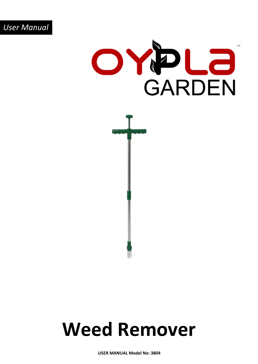



## **Weed Remover**

**USER MANUAL Model No: 3804**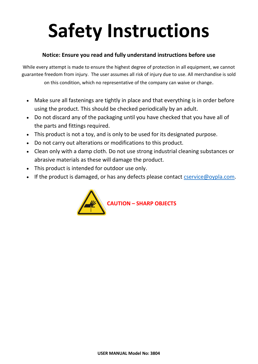# **Safety Instructions**

#### **Notice: Ensure you read and fully understand instructions before use**

While every attempt is made to ensure the highest degree of protection in all equipment, we cannot guarantee freedom from injury. The user assumes all risk of injury due to use. All merchandise is sold on this condition, which no representative of the company can waive or change.

- Make sure all fastenings are tightly in place and that everything is in order before using the product. This should be checked periodically by an adult.
- Do not discard any of the packaging until you have checked that you have all of the parts and fittings required.
- This product is not a toy, and is only to be used for its designated purpose.
- Do not carry out alterations or modifications to this product.
- Clean only with a damp cloth. Do not use strong industrial cleaning substances or abrasive materials as these will damage the product.
- This product is intended for outdoor use only.
- If the product is damaged, or has any defects please contact [cservice@oypla.com.](mailto:cservice@oypla.com)

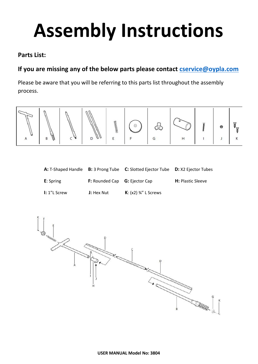## **Assembly Instructions**

### **Parts List:**

## **If you are missing any of the below parts please contact [cservice@oypla.com](mailto:cservice@oypla.com)**

Please be aware that you will be referring to this parts list throughout the assembly process.



|                   |                                             | A: T-Shaped Handle B: 3 Prong Tube C: Slotted Ejector Tube D: X2 Ejector Tubes |                          |
|-------------------|---------------------------------------------|--------------------------------------------------------------------------------|--------------------------|
| <b>E</b> : Spring | <b>F:</b> Rounded Cap <b>G:</b> Ejector Cap |                                                                                | <b>H:</b> Plastic Sleeve |
| I: 1"L Screw      | <b>J:</b> Hex Nut                           | <b>K</b> : $(x2)$ %" L Screws                                                  |                          |